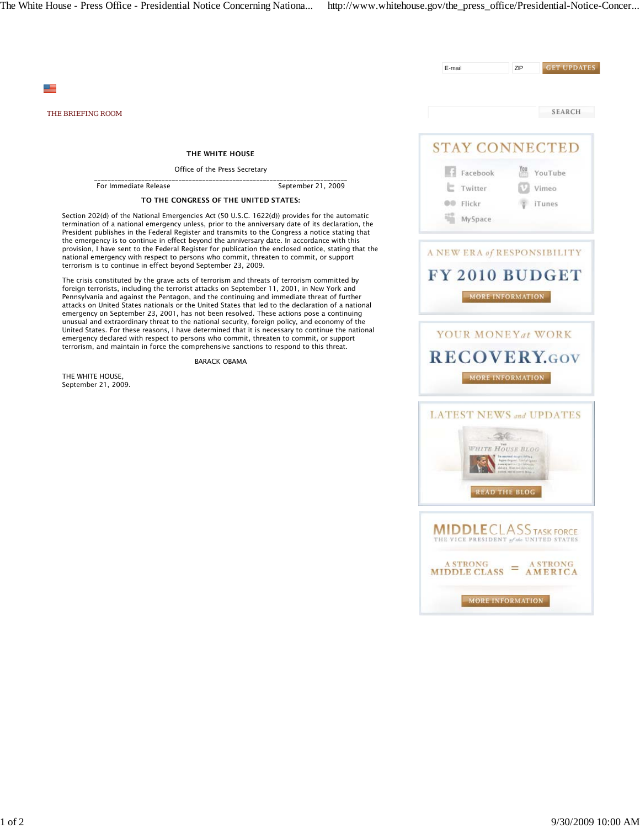